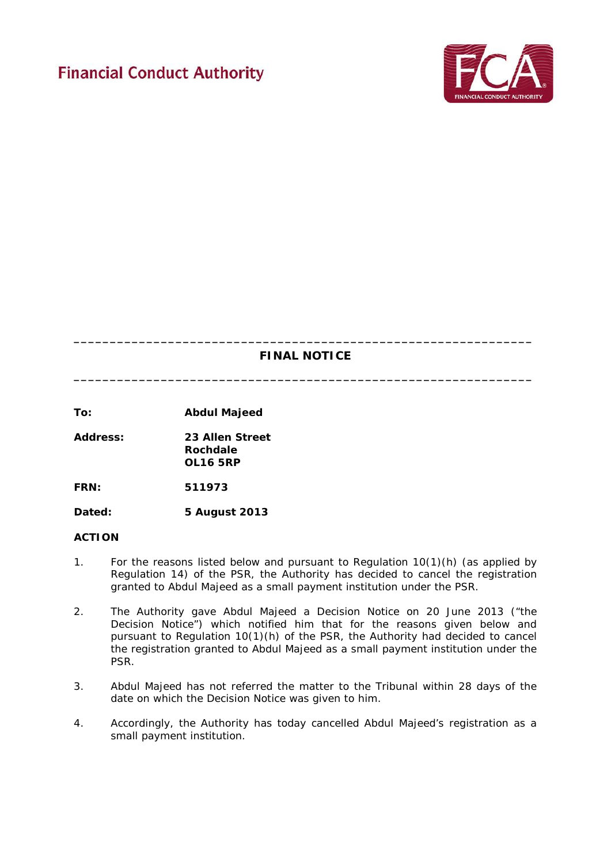# **Financial Conduct Authority**



# **\_\_\_\_\_\_\_\_\_\_\_\_\_\_\_\_\_\_\_\_\_\_\_\_\_\_\_\_\_\_\_\_\_\_\_\_\_\_\_\_\_\_\_\_\_\_\_\_\_\_\_\_\_\_\_\_\_\_\_\_\_\_\_ FINAL NOTICE**

**\_\_\_\_\_\_\_\_\_\_\_\_\_\_\_\_\_\_\_\_\_\_\_\_\_\_\_\_\_\_\_\_\_\_\_\_\_\_\_\_\_\_\_\_\_\_\_\_\_\_\_\_\_\_\_\_\_\_\_\_\_\_\_**

**To: Abdul Majeed**

**Address: 23 Allen Street Rochdale OL16 5RP**

**FRN: 511973**

**Dated: 5 August 2013** 

# **ACTION**

- 1. For the reasons listed below and pursuant to Regulation 10(1)(h) (as applied by Regulation 14) of the PSR, the Authority has decided to cancel the registration granted to Abdul Majeed as a small payment institution under the PSR.
- 2. The Authority gave Abdul Majeed a Decision Notice on 20 June 2013 ("the Decision Notice") which notified him that for the reasons given below and pursuant to Regulation 10(1)(h) of the PSR, the Authority had decided to cancel the registration granted to Abdul Majeed as a small payment institution under the PSR.
- 3. Abdul Majeed has not referred the matter to the Tribunal within 28 days of the date on which the Decision Notice was given to him.
- 4. Accordingly, the Authority has today cancelled Abdul Majeed's registration as a small payment institution.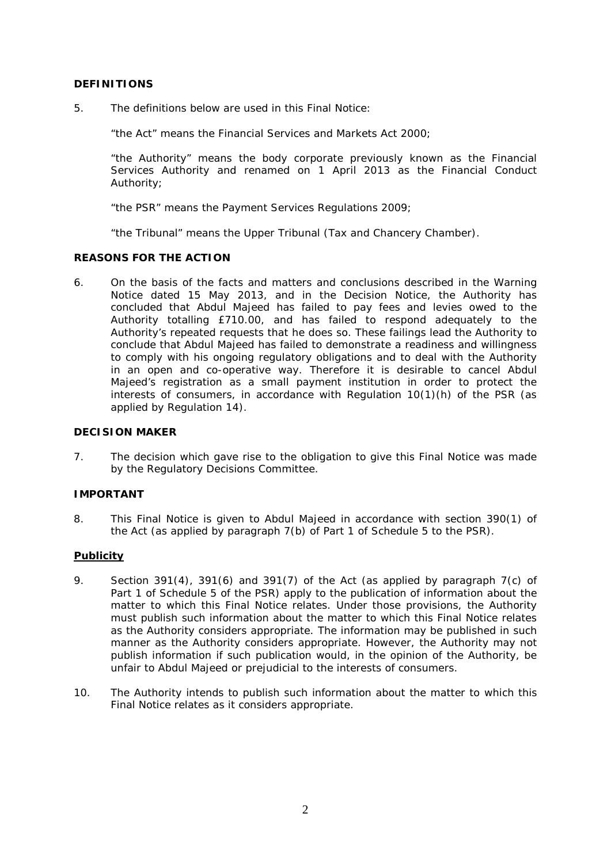# **DEFINITIONS**

5. The definitions below are used in this Final Notice:

"the Act" means the Financial Services and Markets Act 2000;

"the Authority" means the body corporate previously known as the Financial Services Authority and renamed on 1 April 2013 as the Financial Conduct Authority;

"the PSR" means the Payment Services Regulations 2009;

"the Tribunal" means the Upper Tribunal (Tax and Chancery Chamber).

#### **REASONS FOR THE ACTION**

6. On the basis of the facts and matters and conclusions described in the Warning Notice dated 15 May 2013, and in the Decision Notice, the Authority has concluded that Abdul Majeed has failed to pay fees and levies owed to the Authority totalling £710.00, and has failed to respond adequately to the Authority's repeated requests that he does so. These failings lead the Authority to conclude that Abdul Majeed has failed to demonstrate a readiness and willingness to comply with his ongoing regulatory obligations and to deal with the Authority in an open and co-operative way. Therefore it is desirable to cancel Abdul Majeed's registration as a small payment institution in order to protect the interests of consumers, in accordance with Regulation 10(1)(h) of the PSR (as applied by Regulation 14).

#### **DECISION MAKER**

7. The decision which gave rise to the obligation to give this Final Notice was made by the Regulatory Decisions Committee.

# **IMPORTANT**

8. This Final Notice is given to Abdul Majeed in accordance with section 390(1) of the Act (as applied by paragraph 7(b) of Part 1 of Schedule 5 to the PSR).

# **Publicity**

- 9. Section 391(4), 391(6) and 391(7) of the Act (as applied by paragraph 7(c) of Part 1 of Schedule 5 of the PSR) apply to the publication of information about the matter to which this Final Notice relates. Under those provisions, the Authority must publish such information about the matter to which this Final Notice relates as the Authority considers appropriate. The information may be published in such manner as the Authority considers appropriate. However, the Authority may not publish information if such publication would, in the opinion of the Authority, be unfair to Abdul Majeed or prejudicial to the interests of consumers.
- 10. The Authority intends to publish such information about the matter to which this Final Notice relates as it considers appropriate.